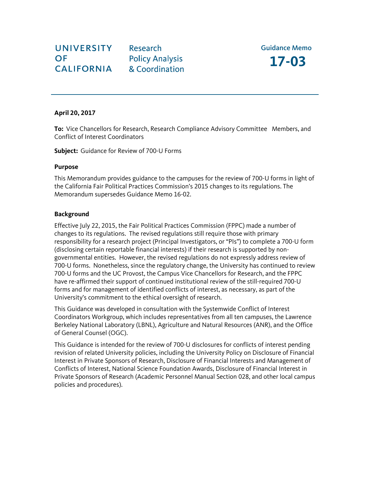Research **Policy Analysis** & Coordination

## **April 20, 2017**

**To:** Vice Chancellors for Research, Research Compliance Advisory Committee Members, and Conflict of Interest Coordinators

**Subject:** Guidance for Review of 700-U Forms

### **Purpose**

This Memorandum provides guidance to the campuses for the review of 700-U forms in light of the California Fair Political Practices Commission's 2015 changes to its regulations. The Memorandum supersedes Guidance Memo 16-02.

## **Background**

Effective July 22, 2015, the Fair Political Practices Commission (FPPC) made a number of changes to its regulations. The revised regulations still require those with primary responsibility for a research project (Principal Investigators, or "PIs") to complete a 700-U form (disclosing certain reportable financial interests) if their research is supported by nongovernmental entities. However, the revised regulations do not expressly address review of 700-U forms. Nonetheless, since the regulatory change, the University has continued to review 700-U forms and the UC Provost, the Campus Vice Chancellors for Research, and the FPPC have re-affirmed their support of continued institutional review of the still-required 700-U forms and for management of identified conflicts of interest, as necessary, as part of the University's commitment to the ethical oversight of research.

This Guidance was developed in consultation with the Systemwide Conflict of Interest Coordinators Workgroup, which includes representatives from all ten campuses, the Lawrence Berkeley National Laboratory (LBNL), Agriculture and Natural Resources (ANR), and the Office of General Counsel (OGC).

This Guidance is intended for the review of 700-U disclosures for conflicts of interest pending revision of related University policies, including the University Policy on Disclosure of Financial Interest in Private Sponsors of Research, Disclosure of Financial Interests and Management of Conflicts of Interest, National Science Foundation Awards, Disclosure of Financial Interest in Private Sponsors of Research (Academic Personnel Manual Section 028, and other local campus policies and procedures).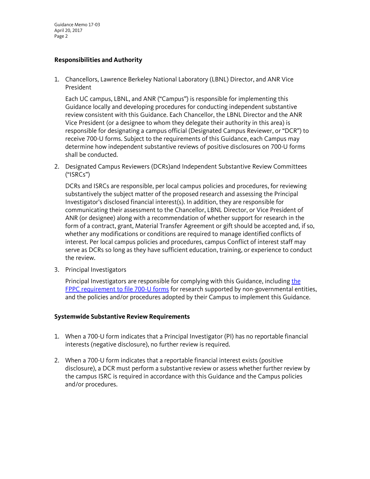Guidance Memo 17-03 April 20, 2017 Page 2

# **Responsibilities and Authority**

1. Chancellors, Lawrence Berkeley National Laboratory (LBNL) Director, and ANR Vice President

Each UC campus, LBNL, and ANR ("Campus") is responsible for implementing this Guidance locally and developing procedures for conducting independent substantive review consistent with this Guidance. Each Chancellor, the LBNL Director and the ANR Vice President (or a designee to whom they delegate their authority in this area) is responsible for designating a campus official (Designated Campus Reviewer, or "DCR") to receive 700-U forms. Subject to the requirements of this Guidance, each Campus may determine how independent substantive reviews of positive disclosures on 700-U forms shall be conducted.

2. Designated Campus Reviewers (DCRs)and Independent Substantive Review Committees ("ISRCs")

DCRs and ISRCs are responsible, per local campus policies and procedures, for reviewing substantively the subject matter of the proposed research and assessing the Principal Investigator's disclosed financial interest(s). In addition, they are responsible for communicating their assessment to the Chancellor, LBNL Director, or Vice President of ANR (or designee) along with a recommendation of whether support for research in the form of a contract, grant, Material Transfer Agreement or gift should be accepted and, if so, whether any modifications or conditions are required to manage identified conflicts of interest. Per local campus policies and procedures, campus Conflict of interest staff may serve as DCRs so long as they have sufficient education, training, or experience to conduct the review.

3. Principal Investigators

Principal Investigators are responsible for complying with this Guidance, includin[g the](http://www.fppc.ca.gov/Form700.html)  [FPPC requirement to file 700-U forms](http://www.fppc.ca.gov/Form700.html) for research supported by non-governmental entities, and the policies and/or procedures adopted by their Campus to implement this Guidance.

#### **Systemwide Substantive Review Requirements**

- 1. When a 700-U form indicates that a Principal Investigator (PI) has no reportable financial interests (negative disclosure), no further review is required.
- 2. When a 700-U form indicates that a reportable financial interest exists (positive disclosure), a DCR must perform a substantive review or assess whether further review by the campus ISRC is required in accordance with this Guidance and the Campus policies and/or procedures.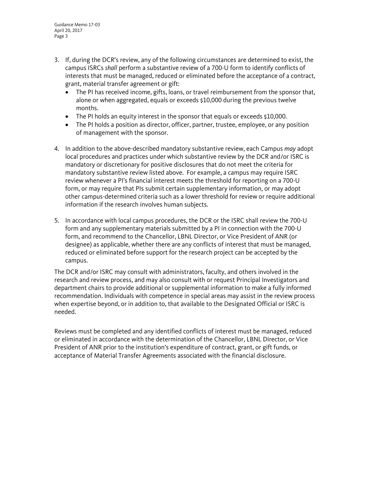- 3. If, during the DCR's review, any of the following circumstances are determined to exist, the campus ISRCs *shall* perform a substantive review of a 700-U form to identify conflicts of interests that must be managed, reduced or eliminated before the acceptance of a contract, grant, material transfer agreement or gift:
	- The PI has received income, gifts, loans, or travel reimbursement from the sponsor that, alone or when aggregated, equals or exceeds \$10,000 during the previous twelve months.
	- The PI holds an equity interest in the sponsor that equals or exceeds \$10,000.
	- The PI holds a position as director, officer, partner, trustee, employee, or any position of management with the sponsor.
- 4. In addition to the above-described mandatory substantive review, each Campus *may* adopt local procedures and practices under which substantive review by the DCR and/or ISRC is mandatory or discretionary for positive disclosures that do not meet the criteria for mandatory substantive review listed above. For example, a campus may require ISRC review whenever a PI's financial interest meets the threshold for reporting on a 700-U form, or may require that PIs submit certain supplementary information, or may adopt other campus-determined criteria such as a lower threshold for review or require additional information if the research involves human subjects.
- 5. In accordance with local campus procedures, the DCR or the ISRC shall review the 700-U form and any supplementary materials submitted by a PI in connection with the 700-U form, and recommend to the Chancellor, LBNL Director, or Vice President of ANR (or designee) as applicable, whether there are any conflicts of interest that must be managed, reduced or eliminated before support for the research project can be accepted by the campus.

The DCR and/or ISRC may consult with administrators, faculty, and others involved in the research and review process, and may also consult with or request Principal Investigators and department chairs to provide additional or supplemental information to make a fully informed recommendation. Individuals with competence in special areas may assist in the review process when expertise beyond, or in addition to, that available to the Designated Official or ISRC is needed.

Reviews must be completed and any identified conflicts of interest must be managed, reduced or eliminated in accordance with the determination of the Chancellor, LBNL Director, or Vice President of ANR prior to the institution's expenditure of contract, grant, or gift funds, or acceptance of Material Transfer Agreements associated with the financial disclosure.